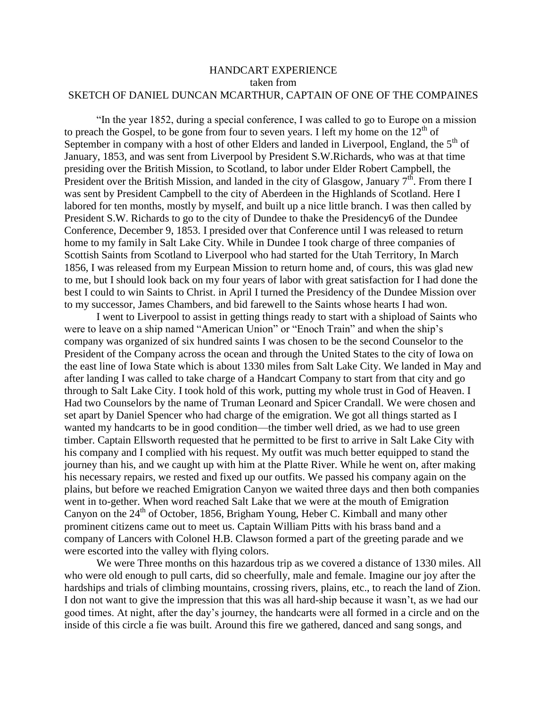## HANDCART EXPERIENCE taken from SKETCH OF DANIEL DUNCAN MCARTHUR, CAPTAIN OF ONE OF THE COMPAINES

"In the year 1852, during a special conference, I was called to go to Europe on a mission to preach the Gospel, to be gone from four to seven years. I left my home on the  $12<sup>th</sup>$  of September in company with a host of other Elders and landed in Liverpool, England, the  $5<sup>th</sup>$  of January, 1853, and was sent from Liverpool by President S.W.Richards, who was at that time presiding over the British Mission, to Scotland, to labor under Elder Robert Campbell, the President over the British Mission, and landed in the city of Glasgow, January  $7<sup>th</sup>$ . From there I was sent by President Campbell to the city of Aberdeen in the Highlands of Scotland. Here I labored for ten months, mostly by myself, and built up a nice little branch. I was then called by President S.W. Richards to go to the city of Dundee to thake the Presidency6 of the Dundee Conference, December 9, 1853. I presided over that Conference until I was released to return home to my family in Salt Lake City. While in Dundee I took charge of three companies of Scottish Saints from Scotland to Liverpool who had started for the Utah Territory, In March 1856, I was released from my Eurpean Mission to return home and, of cours, this was glad new to me, but I should look back on my four years of labor with great satisfaction for I had done the best I could to win Saints to Christ. in April I turned the Presidency of the Dundee Mission over to my successor, James Chambers, and bid farewell to the Saints whose hearts I had won.

I went to Liverpool to assist in getting things ready to start with a shipload of Saints who were to leave on a ship named "American Union" or "Enoch Train" and when the ship's company was organized of six hundred saints I was chosen to be the second Counselor to the President of the Company across the ocean and through the United States to the city of Iowa on the east line of Iowa State which is about 1330 miles from Salt Lake City. We landed in May and after landing I was called to take charge of a Handcart Company to start from that city and go through to Salt Lake City. I took hold of this work, putting my whole trust in God of Heaven. I Had two Counselors by the name of Truman Leonard and Spicer Crandall. We were chosen and set apart by Daniel Spencer who had charge of the emigration. We got all things started as I wanted my handcarts to be in good condition—the timber well dried, as we had to use green timber. Captain Ellsworth requested that he permitted to be first to arrive in Salt Lake City with his company and I complied with his request. My outfit was much better equipped to stand the journey than his, and we caught up with him at the Platte River. While he went on, after making his necessary repairs, we rested and fixed up our outfits. We passed his company again on the plains, but before we reached Emigration Canyon we waited three days and then both companies went in to-gether. When word reached Salt Lake that we were at the mouth of Emigration Canyon on the  $24<sup>th</sup>$  of October, 1856, Brigham Young, Heber C. Kimball and many other prominent citizens came out to meet us. Captain William Pitts with his brass band and a company of Lancers with Colonel H.B. Clawson formed a part of the greeting parade and we were escorted into the valley with flying colors.

We were Three months on this hazardous trip as we covered a distance of 1330 miles. All who were old enough to pull carts, did so cheerfully, male and female. Imagine our joy after the hardships and trials of climbing mountains, crossing rivers, plains, etc., to reach the land of Zion. I don not want to give the impression that this was all hard-ship because it wasn't, as we had our good times. At night, after the day's journey, the handcarts were all formed in a circle and on the inside of this circle a fie was built. Around this fire we gathered, danced and sang songs, and